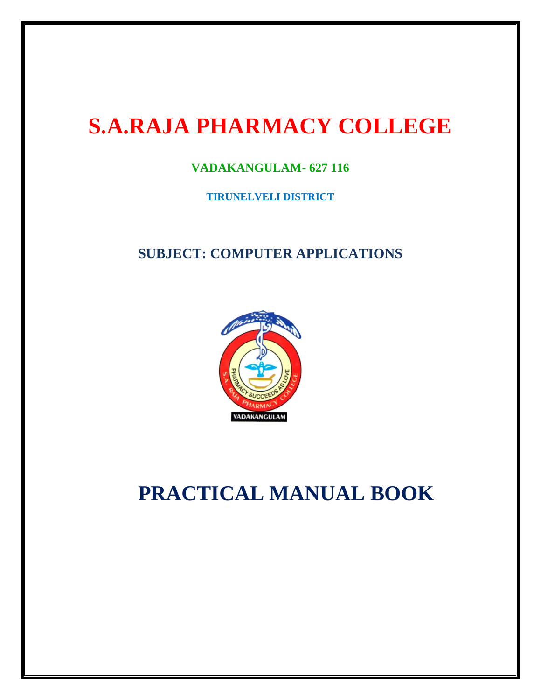# **S.A.RAJA PHARMACY COLLEGE**

### **VADAKANGULAM- 627 116**

**TIRUNELVELI DISTRICT**

# **SUBJECT: COMPUTER APPLICATIONS**



# **PRACTICAL MANUAL BOOK**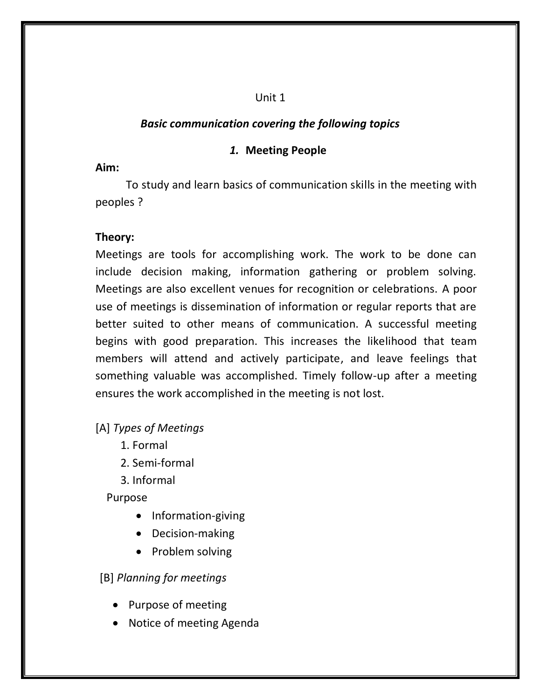#### Unit 1

### *Basic communication covering the following topics*

### *1.* **Meeting People**

**Aim:**

To study and learn basics of communication skills in the meeting with peoples ?

### **Theory:**

Meetings are tools for accomplishing work. The work to be done can include decision making, information gathering or problem solving. Meetings are also excellent venues for recognition or celebrations. A poor use of meetings is dissemination of information or regular reports that are better suited to other means of communication. A successful meeting begins with good preparation. This increases the likelihood that team members will attend and actively participate, and leave feelings that something valuable was accomplished. Timely follow-up after a meeting ensures the work accomplished in the meeting is not lost.

[A] *Types of Meetings*

- 1. Formal
- 2. Semi-formal
- 3. Informal

Purpose

- Information-giving
- Decision-making
- Problem solving

[B] *Planning for meetings*

- Purpose of meeting
- Notice of meeting Agenda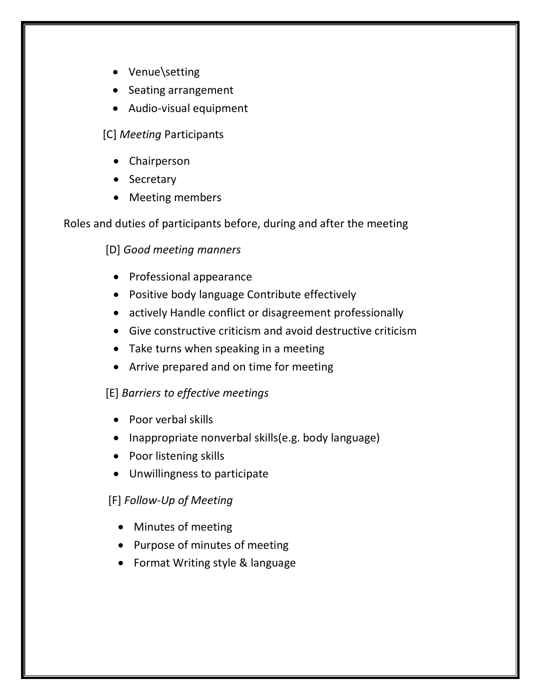- Venue\setting
- Seating arrangement
- Audio-visual equipment

[C] *Meeting* Participants

- Chairperson
- Secretary
- Meeting members

Roles and duties of participants before, during and after the meeting

[D] *Good meeting manners*

- Professional appearance
- Positive body language Contribute effectively
- actively Handle conflict or disagreement professionally
- Give constructive criticism and avoid destructive criticism
- Take turns when speaking in a meeting
- Arrive prepared and on time for meeting

## [E] *Barriers to effective meetings*

- Poor verbal skills
- Inappropriate nonverbal skills(e.g. body language)
- Poor listening skills
- Unwillingness to participate

# [F] *Follow-Up of Meeting*

- Minutes of meeting
- Purpose of minutes of meeting
- Format Writing style & language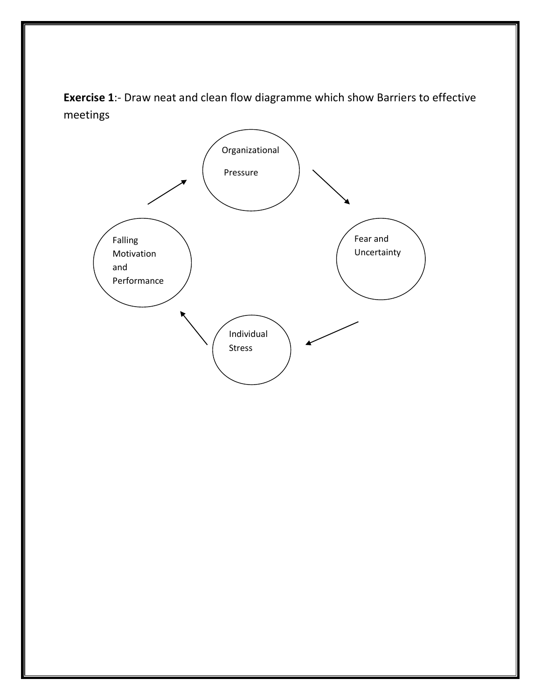**Exercise 1**:- Draw neat and clean flow diagramme which show Barriers to effective meetings

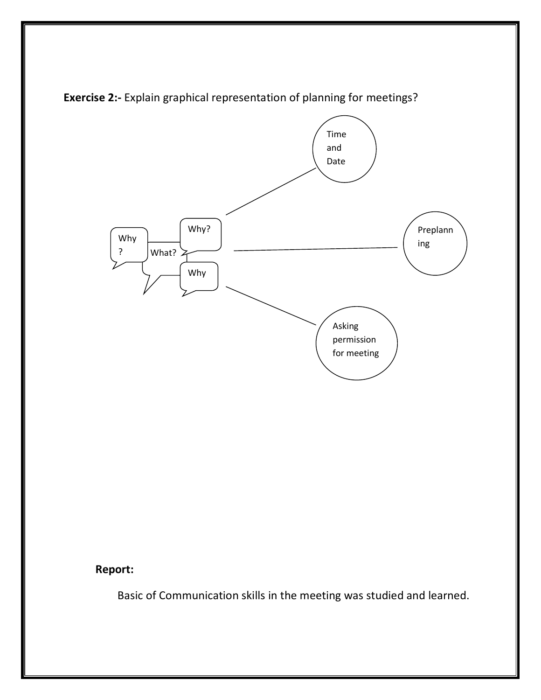

**Exercise 2:-** Explain graphical representation of planning for meetings?

### **Report:**

Basic of Communication skills in the meeting was studied and learned.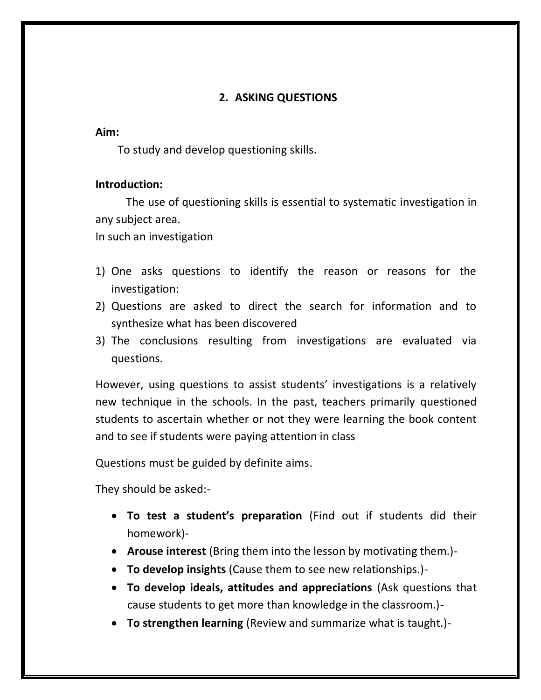### **2. ASKING QUESTIONS**

#### **Aim:**

To study and develop questioning skills.

#### **Introduction:**

The use of questioning skills is essential to systematic investigation in any subject area.

In such an investigation

- 1) One asks questions to identify the reason or reasons for the investigation:
- 2) Questions are asked to direct the search for information and to synthesize what has been discovered
- 3) The conclusions resulting from investigations are evaluated via questions.

However, using questions to assist students' investigations is a relatively new technique in the schools. In the past, teachers primarily questioned students to ascertain whether or not they were learning the book content and to see if students were paying attention in class

Questions must be guided by definite aims.

They should be asked:-

- **To test a student's preparation** (Find out if students did their homework)-
- **Arouse interest** (Bring them into the lesson by motivating them.)-
- **To develop insights** (Cause them to see new relationships.)-
- **To develop ideals, attitudes and appreciations** (Ask questions that cause students to get more than knowledge in the classroom.)-
- **To strengthen learning** (Review and summarize what is taught.)-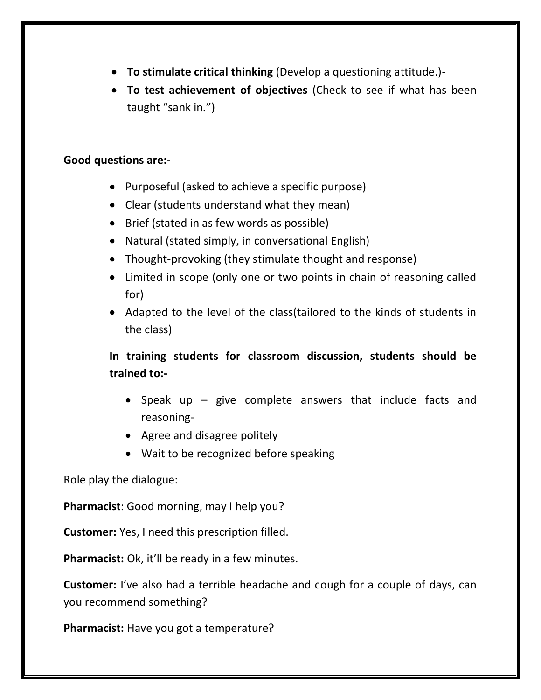- **To stimulate critical thinking** (Develop a questioning attitude.)-
- **To test achievement of objectives** (Check to see if what has been taught "sank in.")

### **Good questions are:-**

- Purposeful (asked to achieve a specific purpose)
- Clear (students understand what they mean)
- Brief (stated in as few words as possible)
- Natural (stated simply, in conversational English)
- Thought-provoking (they stimulate thought and response)
- Limited in scope (only one or two points in chain of reasoning called for)
- Adapted to the level of the class(tailored to the kinds of students in the class)

## **In training students for classroom discussion, students should be trained to:-**

- Speak up give complete answers that include facts and reasoning-
- Agree and disagree politely
- Wait to be recognized before speaking

Role play the dialogue:

**Pharmacist**: Good morning, may I help you?

**Customer:** Yes, I need this prescription filled.

**Pharmacist:** Ok, it'll be ready in a few minutes.

**Customer:** I've also had a terrible headache and cough for a couple of days, can you recommend something?

**Pharmacist:** Have you got a temperature?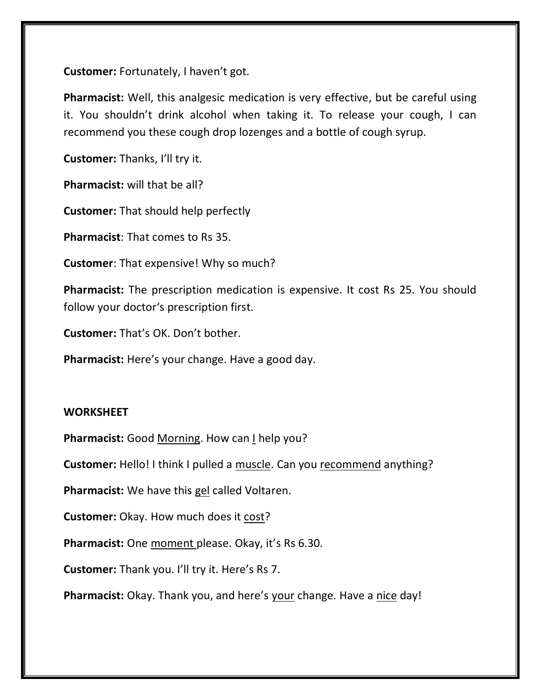**Customer:** Fortunately, I haven't got.

**Pharmacist:** Well, this analgesic medication is very effective, but be careful using it. You shouldn't drink alcohol when taking it. To release your cough, I can recommend you these cough drop lozenges and a bottle of cough syrup.

**Customer:** Thanks, I'll try it.

**Pharmacist:** will that be all?

**Customer:** That should help perfectly

**Pharmacist**: That comes to Rs 35.

**Customer**: That expensive! Why so much?

**Pharmacist:** The prescription medication is expensive. It cost Rs 25. You should follow your doctor's prescription first.

**Customer:** That's OK. Don't bother.

**Pharmacist:** Here's your change. Have a good day.

### **WORKSHEET**

**Pharmacist:** Good Morning. How can I help you?

**Customer:** Hello! I think I pulled a muscle. Can you recommend anything?

**Pharmacist:** We have this gel called Voltaren.

**Customer:** Okay. How much does it cost?

**Pharmacist:** One moment please. Okay, it's Rs 6.30.

**Customer:** Thank you. I'll try it. Here's Rs 7.

**Pharmacist:** Okay. Thank you, and here's your change. Have a nice day!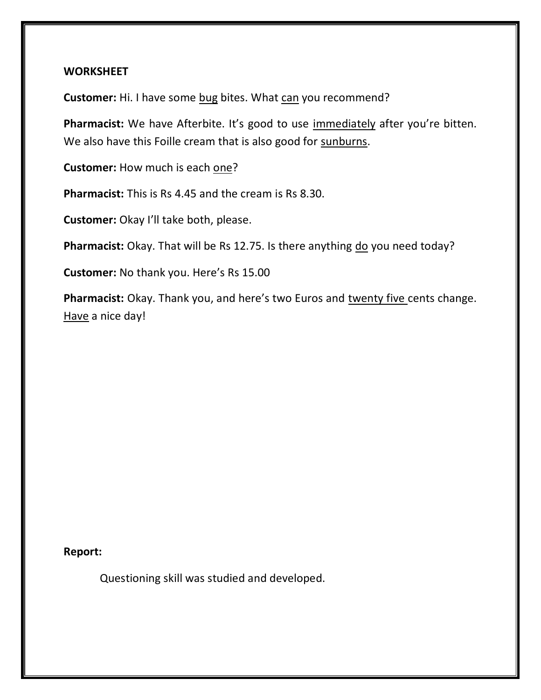### **WORKSHEET**

**Customer:** Hi. I have some bug bites. What can you recommend?

Pharmacist: We have Afterbite. It's good to use immediately after you're bitten. We also have this Foille cream that is also good for sunburns.

**Customer:** How much is each one?

**Pharmacist:** This is Rs 4.45 and the cream is Rs 8.30.

**Customer:** Okay I'll take both, please.

Pharmacist: Okay. That will be Rs 12.75. Is there anything do you need today?

**Customer:** No thank you. Here's Rs 15.00

Pharmacist: Okay. Thank you, and here's two Euros and twenty five cents change. Have a nice day!

#### **Report:**

Questioning skill was studied and developed.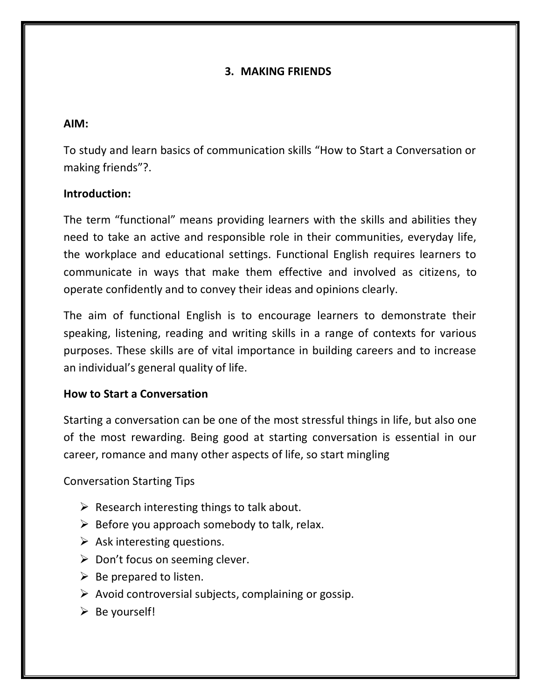### **3. MAKING FRIENDS**

### **AIM:**

To study and learn basics of communication skills "How to Start a Conversation or making friends"?.

### **Introduction:**

The term "functional" means providing learners with the skills and abilities they need to take an active and responsible role in their communities, everyday life, the workplace and educational settings. Functional English requires learners to communicate in ways that make them effective and involved as citizens, to operate confidently and to convey their ideas and opinions clearly.

The aim of functional English is to encourage learners to demonstrate their speaking, listening, reading and writing skills in a range of contexts for various purposes. These skills are of vital importance in building careers and to increase an individual's general quality of life.

### **How to Start a Conversation**

Starting a conversation can be one of the most stressful things in life, but also one of the most rewarding. Being good at starting conversation is essential in our career, romance and many other aspects of life, so start mingling

Conversation Starting Tips

- $\triangleright$  Research interesting things to talk about.
- $\triangleright$  Before you approach somebody to talk, relax.
- $\triangleright$  Ask interesting questions.
- $\triangleright$  Don't focus on seeming clever.
- $\triangleright$  Be prepared to listen.
- $\triangleright$  Avoid controversial subjects, complaining or gossip.
- $\triangleright$  Be yourself!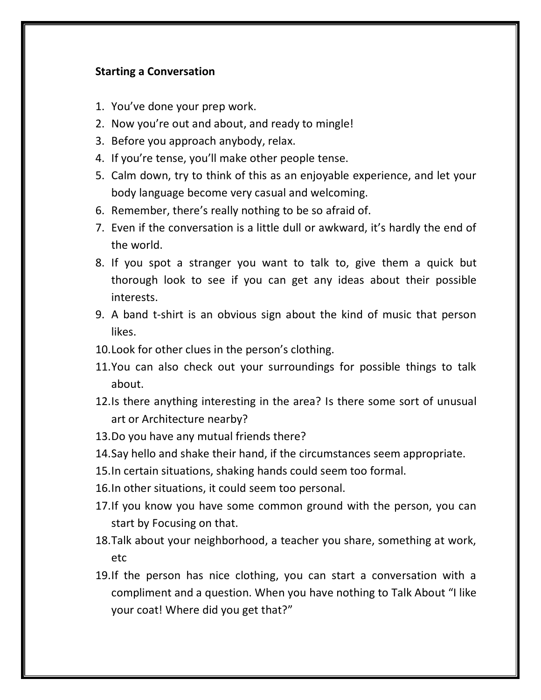### **Starting a Conversation**

- 1. You've done your prep work.
- 2. Now you're out and about, and ready to mingle!
- 3. Before you approach anybody, relax.
- 4. If you're tense, you'll make other people tense.
- 5. Calm down, try to think of this as an enjoyable experience, and let your body language become very casual and welcoming.
- 6. Remember, there's really nothing to be so afraid of.
- 7. Even if the conversation is a little dull or awkward, it's hardly the end of the world.
- 8. If you spot a stranger you want to talk to, give them a quick but thorough look to see if you can get any ideas about their possible interests.
- 9. A band t-shirt is an obvious sign about the kind of music that person likes.
- 10.Look for other clues in the person's clothing.
- 11.You can also check out your surroundings for possible things to talk about.
- 12.Is there anything interesting in the area? Is there some sort of unusual art or Architecture nearby?
- 13.Do you have any mutual friends there?
- 14.Say hello and shake their hand, if the circumstances seem appropriate.
- 15.In certain situations, shaking hands could seem too formal.
- 16.In other situations, it could seem too personal.
- 17.If you know you have some common ground with the person, you can start by Focusing on that.
- 18.Talk about your neighborhood, a teacher you share, something at work, etc
- 19.If the person has nice clothing, you can start a conversation with a compliment and a question. When you have nothing to Talk About "I like your coat! Where did you get that?"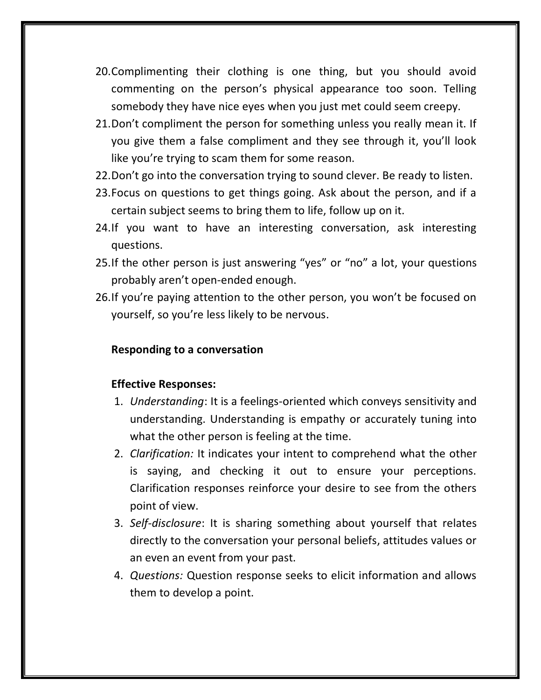- 20.Complimenting their clothing is one thing, but you should avoid commenting on the person's physical appearance too soon. Telling somebody they have nice eyes when you just met could seem creepy.
- 21.Don't compliment the person for something unless you really mean it. If you give them a false compliment and they see through it, you'll look like you're trying to scam them for some reason.
- 22.Don't go into the conversation trying to sound clever. Be ready to listen.
- 23.Focus on questions to get things going. Ask about the person, and if a certain subject seems to bring them to life, follow up on it.
- 24.If you want to have an interesting conversation, ask interesting questions.
- 25.If the other person is just answering "yes" or "no" a lot, your questions probably aren't open-ended enough.
- 26.If you're paying attention to the other person, you won't be focused on yourself, so you're less likely to be nervous.

#### **Responding to a conversation**

#### **Effective Responses:**

- 1. *Understanding*: It is a feelings-oriented which conveys sensitivity and understanding. Understanding is empathy or accurately tuning into what the other person is feeling at the time.
- 2. *Clarification:* It indicates your intent to comprehend what the other is saying, and checking it out to ensure your perceptions. Clarification responses reinforce your desire to see from the others point of view.
- 3. *Self-disclosure*: It is sharing something about yourself that relates directly to the conversation your personal beliefs, attitudes values or an even an event from your past.
- 4. *Questions:* Question response seeks to elicit information and allows them to develop a point.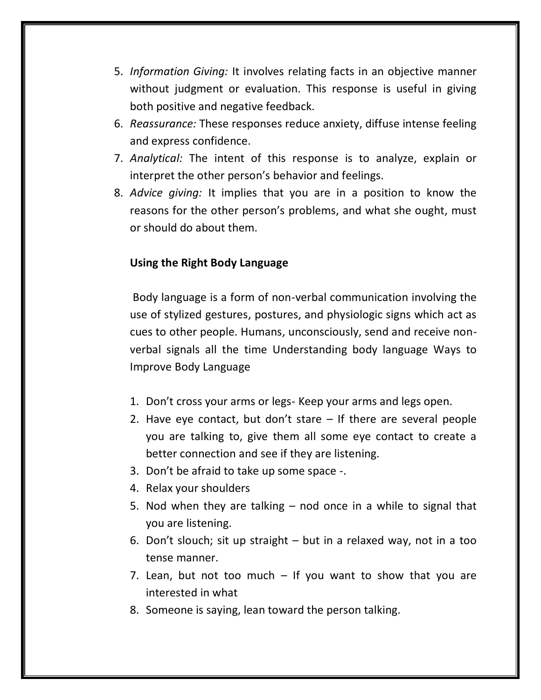- 5. *Information Giving:* It involves relating facts in an objective manner without judgment or evaluation. This response is useful in giving both positive and negative feedback.
- 6. *Reassurance:* These responses reduce anxiety, diffuse intense feeling and express confidence.
- 7. *Analytical:* The intent of this response is to analyze, explain or interpret the other person's behavior and feelings.
- 8. *Advice giving:* It implies that you are in a position to know the reasons for the other person's problems, and what she ought, must or should do about them.

#### **Using the Right Body Language**

Body language is a form of non-verbal communication involving the use of stylized gestures, postures, and physiologic signs which act as cues to other people. Humans, unconsciously, send and receive nonverbal signals all the time Understanding body language Ways to Improve Body Language

- 1. Don't cross your arms or legs- Keep your arms and legs open.
- 2. Have eye contact, but don't stare If there are several people you are talking to, give them all some eye contact to create a better connection and see if they are listening.
- 3. Don't be afraid to take up some space -.
- 4. Relax your shoulders
- 5. Nod when they are talking nod once in a while to signal that you are listening.
- 6. Don't slouch; sit up straight but in a relaxed way, not in a too tense manner.
- 7. Lean, but not too much If you want to show that you are interested in what
- 8. Someone is saying, lean toward the person talking.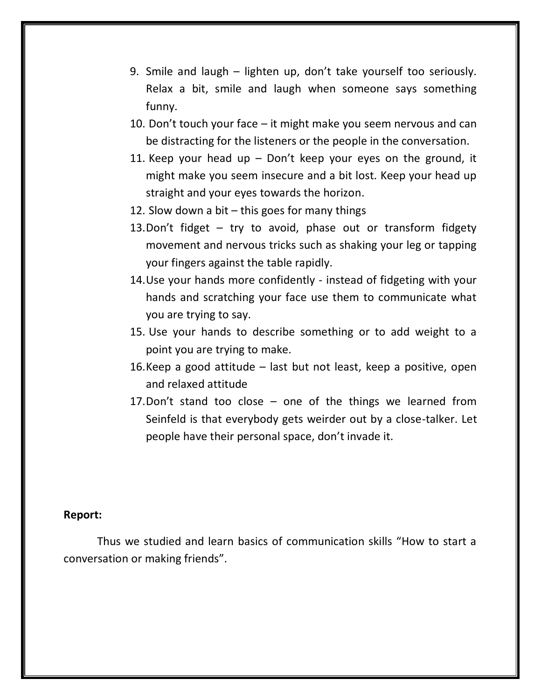- 9. Smile and laugh lighten up, don't take yourself too seriously. Relax a bit, smile and laugh when someone says something funny.
- 10. Don't touch your face it might make you seem nervous and can be distracting for the listeners or the people in the conversation.
- 11. Keep your head up  $-$  Don't keep your eyes on the ground, it might make you seem insecure and a bit lost. Keep your head up straight and your eyes towards the horizon.
- 12. Slow down a bit  $-$  this goes for many things
- 13.Don't fidget try to avoid, phase out or transform fidgety movement and nervous tricks such as shaking your leg or tapping your fingers against the table rapidly.
- 14.Use your hands more confidently instead of fidgeting with your hands and scratching your face use them to communicate what you are trying to say.
- 15. Use your hands to describe something or to add weight to a point you are trying to make.
- 16.Keep a good attitude last but not least, keep a positive, open and relaxed attitude
- 17.Don't stand too close one of the things we learned from Seinfeld is that everybody gets weirder out by a close-talker. Let people have their personal space, don't invade it.

#### **Report:**

 Thus we studied and learn basics of communication skills "How to start a conversation or making friends".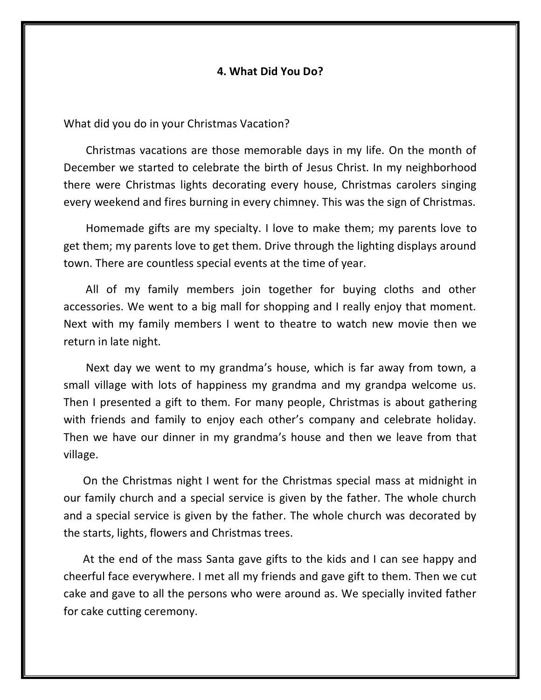#### **4. What Did You Do?**

What did you do in your Christmas Vacation?

 Christmas vacations are those memorable days in my life. On the month of December we started to celebrate the birth of Jesus Christ. In my neighborhood there were Christmas lights decorating every house, Christmas carolers singing every weekend and fires burning in every chimney. This was the sign of Christmas.

 Homemade gifts are my specialty. I love to make them; my parents love to get them; my parents love to get them. Drive through the lighting displays around town. There are countless special events at the time of year.

 All of my family members join together for buying cloths and other accessories. We went to a big mall for shopping and I really enjoy that moment. Next with my family members I went to theatre to watch new movie then we return in late night.

 Next day we went to my grandma's house, which is far away from town, a small village with lots of happiness my grandma and my grandpa welcome us. Then I presented a gift to them. For many people, Christmas is about gathering with friends and family to enjoy each other's company and celebrate holiday. Then we have our dinner in my grandma's house and then we leave from that village.

 On the Christmas night I went for the Christmas special mass at midnight in our family church and a special service is given by the father. The whole church and a special service is given by the father. The whole church was decorated by the starts, lights, flowers and Christmas trees.

 At the end of the mass Santa gave gifts to the kids and I can see happy and cheerful face everywhere. I met all my friends and gave gift to them. Then we cut cake and gave to all the persons who were around as. We specially invited father for cake cutting ceremony.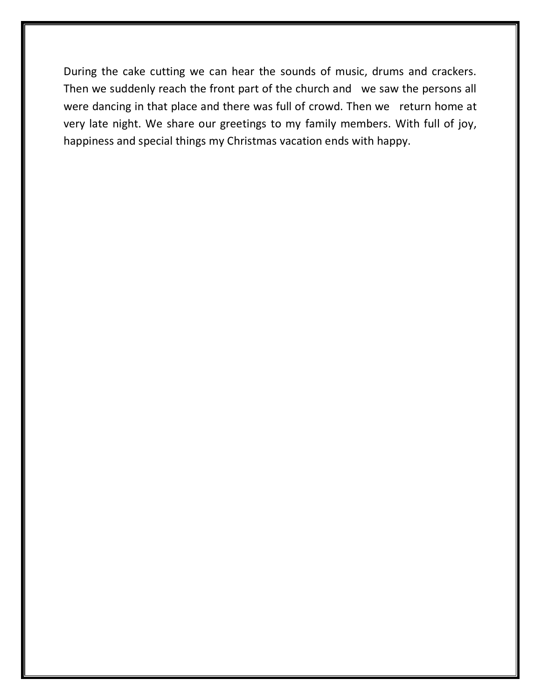During the cake cutting we can hear the sounds of music, drums and crackers. Then we suddenly reach the front part of the church and we saw the persons all were dancing in that place and there was full of crowd. Then we return home at very late night. We share our greetings to my family members. With full of joy, happiness and special things my Christmas vacation ends with happy.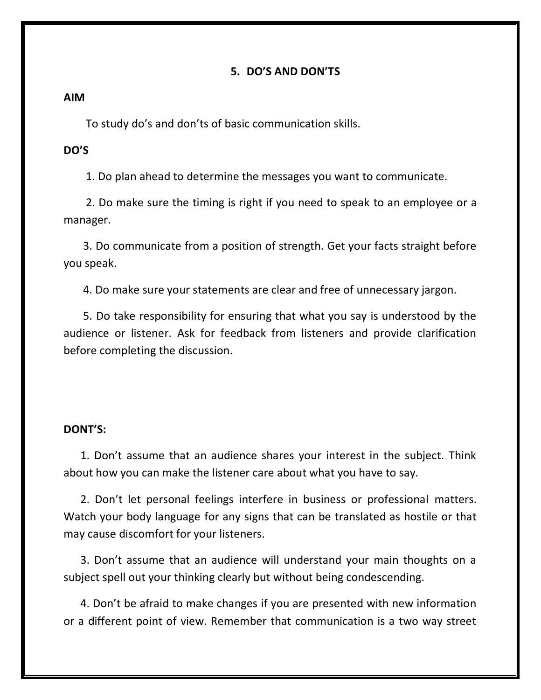#### **5. DO'S AND DON'TS**

#### **AIM**

To study do's and don'ts of basic communication skills.

#### **DO'S**

1. Do plan ahead to determine the messages you want to communicate.

 2. Do make sure the timing is right if you need to speak to an employee or a manager.

 3. Do communicate from a position of strength. Get your facts straight before you speak.

4. Do make sure your statements are clear and free of unnecessary jargon.

 5. Do take responsibility for ensuring that what you say is understood by the audience or listener. Ask for feedback from listeners and provide clarification before completing the discussion.

#### **DONT'S:**

 1. Don't assume that an audience shares your interest in the subject. Think about how you can make the listener care about what you have to say.

 2. Don't let personal feelings interfere in business or professional matters. Watch your body language for any signs that can be translated as hostile or that may cause discomfort for your listeners.

 3. Don't assume that an audience will understand your main thoughts on a subject spell out your thinking clearly but without being condescending.

 4. Don't be afraid to make changes if you are presented with new information or a different point of view. Remember that communication is a two way street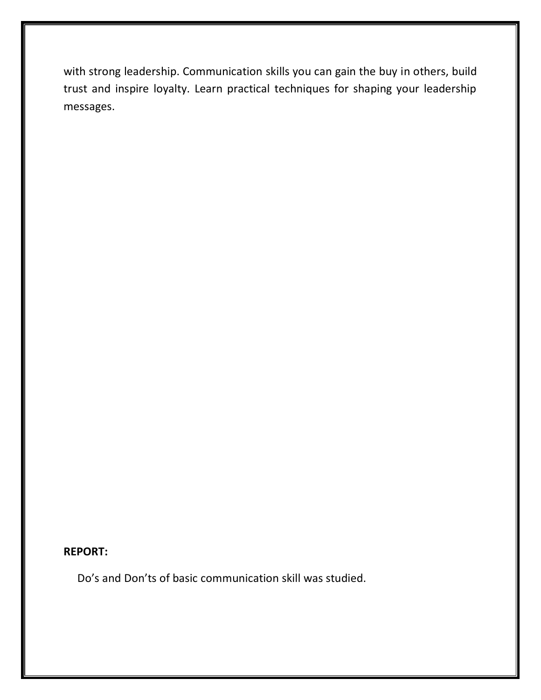with strong leadership. Communication skills you can gain the buy in others, build trust and inspire loyalty. Learn practical techniques for shaping your leadership messages.

### **REPORT:**

Do's and Don'ts of basic communication skill was studied.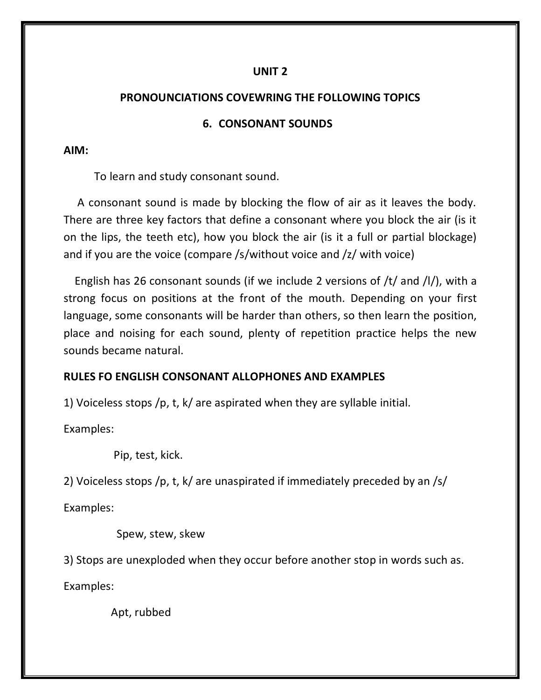#### **UNIT 2**

#### **PRONOUNCIATIONS COVEWRING THE FOLLOWING TOPICS**

#### **6. CONSONANT SOUNDS**

#### **AIM:**

To learn and study consonant sound.

 A consonant sound is made by blocking the flow of air as it leaves the body. There are three key factors that define a consonant where you block the air (is it on the lips, the teeth etc), how you block the air (is it a full or partial blockage) and if you are the voice (compare /s/without voice and /z/ with voice)

English has 26 consonant sounds (if we include 2 versions of  $/t/$  and  $/t/$ ), with a strong focus on positions at the front of the mouth. Depending on your first language, some consonants will be harder than others, so then learn the position, place and noising for each sound, plenty of repetition practice helps the new sounds became natural.

#### **RULES FO ENGLISH CONSONANT ALLOPHONES AND EXAMPLES**

1) Voiceless stops /p, t, k/ are aspirated when they are syllable initial.

Examples:

Pip, test, kick.

2) Voiceless stops /p, t, k/ are unaspirated if immediately preceded by an /s/

Examples:

Spew, stew, skew

3) Stops are unexploded when they occur before another stop in words such as.

Examples:

Apt, rubbed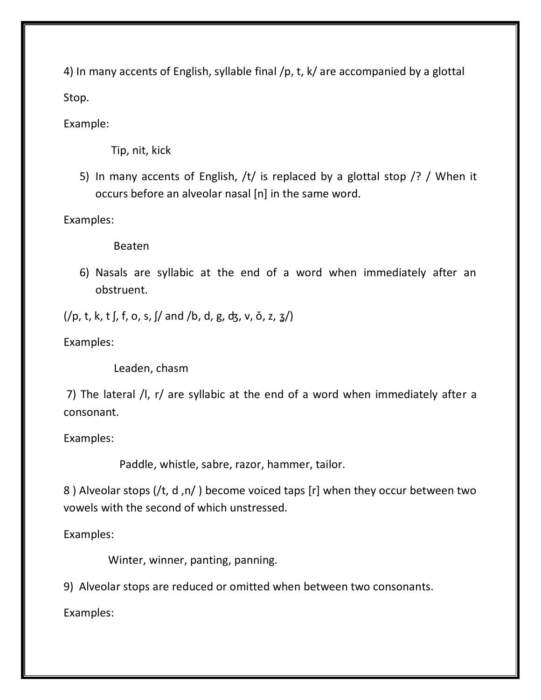4) In many accents of English, syllable final /p, t, k/ are accompanied by a glottal Stop.

Example:

Tip, nit, kick

5) In many accents of English, /t/ is replaced by a glottal stop /? / When it occurs before an alveolar nasal [n] in the same word.

Examples:

Beaten

6) Nasals are syllabic at the end of a word when immediately after an obstruent.

 $($ /p, t, k, t [, f, o, s, [/ and /b, d, g, dz, v,  $\delta$ , z,  $\frac{1}{3}$ /)

Examples:

Leaden, chasm

7) The lateral /l, r/ are syllabic at the end of a word when immediately after a consonant.

Examples:

Paddle, whistle, sabre, razor, hammer, tailor.

8 ) Alveolar stops (/t, d ,n/ ) become voiced taps [r] when they occur between two vowels with the second of which unstressed.

Examples:

Winter, winner, panting, panning.

9) Alveolar stops are reduced or omitted when between two consonants.

Examples: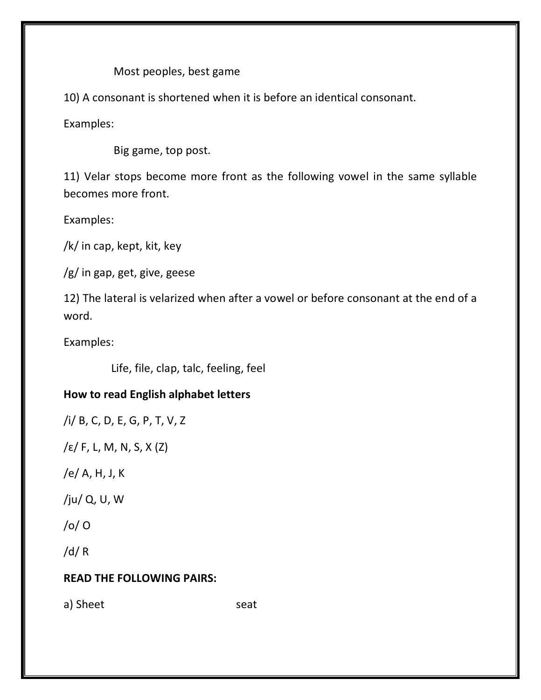Most peoples, best game

10) A consonant is shortened when it is before an identical consonant.

Examples:

Big game, top post.

11) Velar stops become more front as the following vowel in the same syllable becomes more front.

Examples:

/k/ in cap, kept, kit, key

/g/ in gap, get, give, geese

12) The lateral is velarized when after a vowel or before consonant at the end of a word.

Examples:

Life, file, clap, talc, feeling, feel

### **How to read English alphabet letters**

/i/ B, C, D, E, G, P, T, V, Z

 $\sqrt{\varepsilon}$  F, L, M, N, S, X (Z)

/e/ A, H, J, K

/ju/ Q, U, W

/o/ O

/d/ R

### **READ THE FOLLOWING PAIRS:**

a) Sheet seat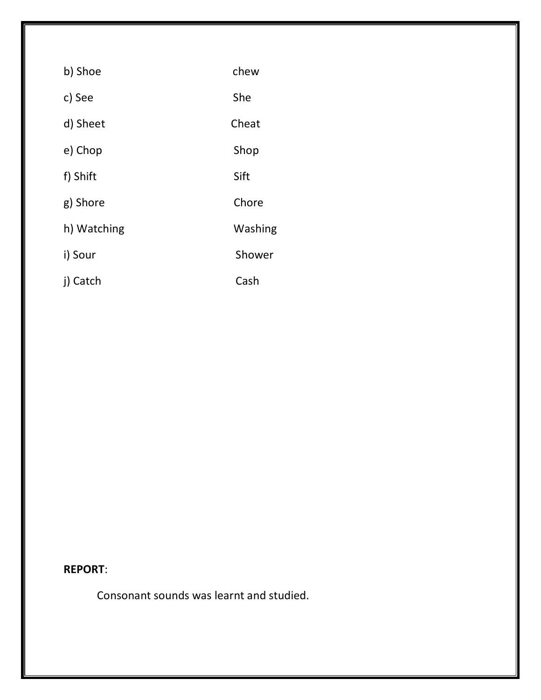| b) Shoe     | chew    |
|-------------|---------|
| c) See      | She     |
| d) Sheet    | Cheat   |
| e) Chop     | Shop    |
| f) Shift    | Sift    |
| g) Shore    | Chore   |
| h) Watching | Washing |
| i) Sour     | Shower  |
| j) Catch    | Cash    |

### **REPORT**:

Consonant sounds was learnt and studied.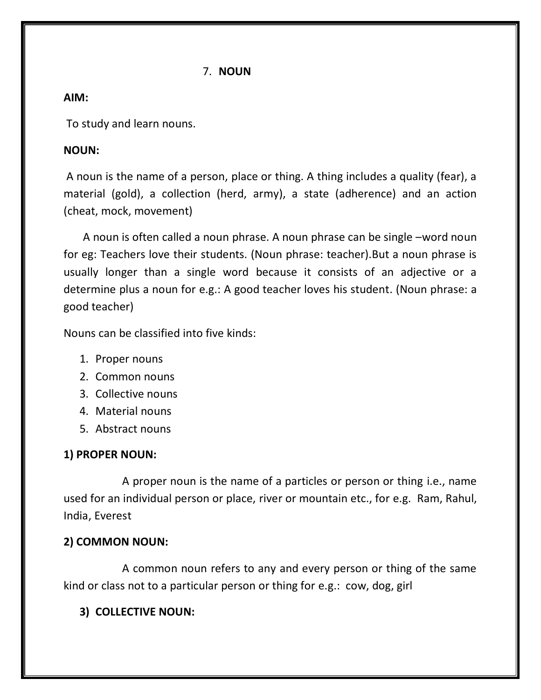### 7. **NOUN**

#### **AIM:**

To study and learn nouns.

### **NOUN:**

A noun is the name of a person, place or thing. A thing includes a quality (fear), a material (gold), a collection (herd, army), a state (adherence) and an action (cheat, mock, movement)

 A noun is often called a noun phrase. A noun phrase can be single –word noun for eg: Teachers love their students. (Noun phrase: teacher).But a noun phrase is usually longer than a single word because it consists of an adjective or a determine plus a noun for e.g.: A good teacher loves his student. (Noun phrase: a good teacher)

Nouns can be classified into five kinds:

- 1. Proper nouns
- 2. Common nouns
- 3. Collective nouns
- 4. Material nouns
- 5. Abstract nouns

### **1) PROPER NOUN:**

 A proper noun is the name of a particles or person or thing i.e., name used for an individual person or place, river or mountain etc., for e.g. Ram, Rahul, India, Everest

### **2) COMMON NOUN:**

 A common noun refers to any and every person or thing of the same kind or class not to a particular person or thing for e.g.: cow, dog, girl

### **3) COLLECTIVE NOUN:**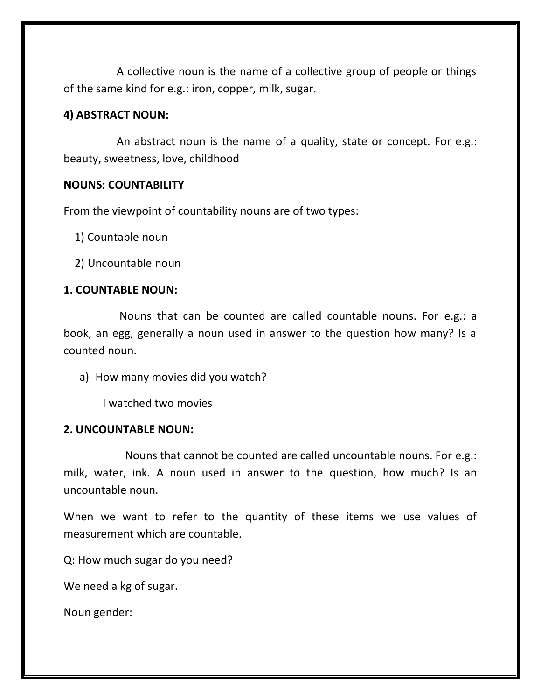A collective noun is the name of a collective group of people or things of the same kind for e.g.: iron, copper, milk, sugar.

### **4) ABSTRACT NOUN:**

 An abstract noun is the name of a quality, state or concept. For e.g.: beauty, sweetness, love, childhood

### **NOUNS: COUNTABILITY**

From the viewpoint of countability nouns are of two types:

1) Countable noun

2) Uncountable noun

### **1. COUNTABLE NOUN:**

 Nouns that can be counted are called countable nouns. For e.g.: a book, an egg, generally a noun used in answer to the question how many? Is a counted noun.

a) How many movies did you watch?

I watched two movies

### **2. UNCOUNTABLE NOUN:**

 Nouns that cannot be counted are called uncountable nouns. For e.g.: milk, water, ink. A noun used in answer to the question, how much? Is an uncountable noun.

When we want to refer to the quantity of these items we use values of measurement which are countable.

Q: How much sugar do you need?

We need a kg of sugar.

Noun gender: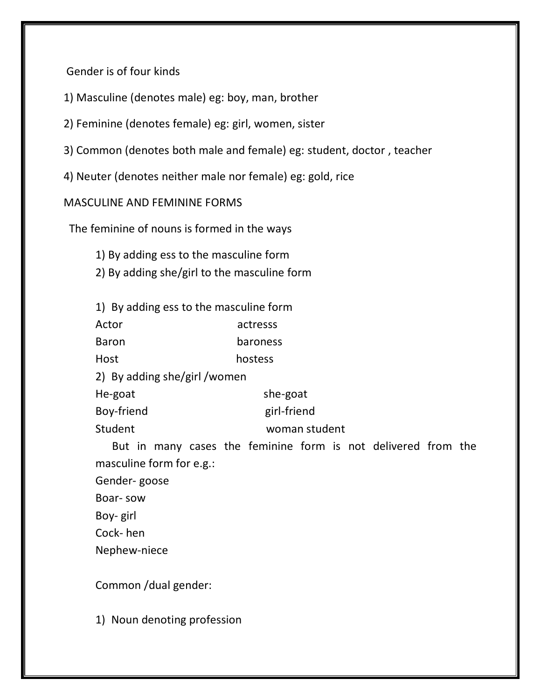Gender is of four kinds

1) Masculine (denotes male) eg: boy, man, brother

2) Feminine (denotes female) eg: girl, women, sister

3) Common (denotes both male and female) eg: student, doctor , teacher

4) Neuter (denotes neither male nor female) eg: gold, rice

MASCULINE AND FEMININE FORMS

The feminine of nouns is formed in the ways

1) By adding ess to the masculine form

2) By adding she/girl to the masculine form

| 1) By adding ess to the masculine form |               |  |  |
|----------------------------------------|---------------|--|--|
| Actor                                  | actresss      |  |  |
| <b>Baron</b>                           | baroness      |  |  |
| Host                                   | hostess       |  |  |
| 2) By adding she/girl / women          |               |  |  |
| He-goat                                | she-goat      |  |  |
| Boy-friend                             | girl-friend   |  |  |
| Student                                | woman student |  |  |

 But in many cases the feminine form is not delivered from the masculine form for e.g.:

Gender- goose Boar- sow

Boy- girl

Cock- hen

Nephew-niece

Common /dual gender:

1) Noun denoting profession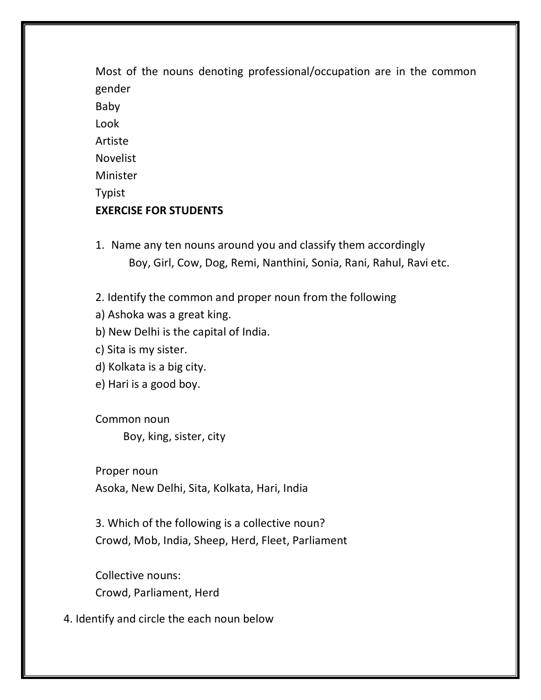Most of the nouns denoting professional/occupation are in the common gender Baby Look Artiste Novelist Minister Typist **EXERCISE FOR STUDENTS**

- 1. Name any ten nouns around you and classify them accordingly Boy, Girl, Cow, Dog, Remi, Nanthini, Sonia, Rani, Rahul, Ravi etc.
- 2. Identify the common and proper noun from the following
- a) Ashoka was a great king.
- b) New Delhi is the capital of India.
- c) Sita is my sister.
- d) Kolkata is a big city.
- e) Hari is a good boy.

Common noun Boy, king, sister, city

Proper noun Asoka, New Delhi, Sita, Kolkata, Hari, India

3. Which of the following is a collective noun? Crowd, Mob, India, Sheep, Herd, Fleet, Parliament

Collective nouns: Crowd, Parliament, Herd

4. Identify and circle the each noun below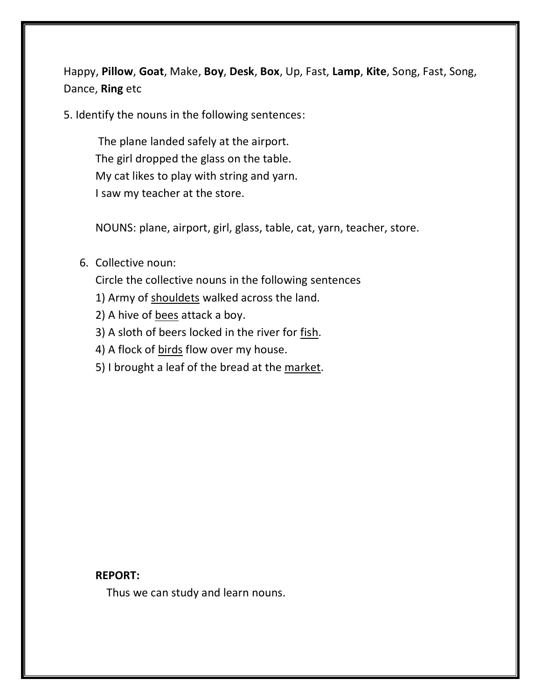Happy, **Pillow**, **Goat**, Make, **Boy**, **Desk**, **Box**, Up, Fast, **Lamp**, **Kite**, Song, Fast, Song, Dance, **Ring** etc

5. Identify the nouns in the following sentences:

The plane landed safely at the airport. The girl dropped the glass on the table. My cat likes to play with string and yarn. I saw my teacher at the store.

NOUNS: plane, airport, girl, glass, table, cat, yarn, teacher, store.

6. Collective noun:

Circle the collective nouns in the following sentences

- 1) Army of shouldets walked across the land.
- 2) A hive of bees attack a boy.
- 3) A sloth of beers locked in the river for fish.
- 4) A flock of birds flow over my house.
- 5) I brought a leaf of the bread at the market.

#### **REPORT:**

Thus we can study and learn nouns.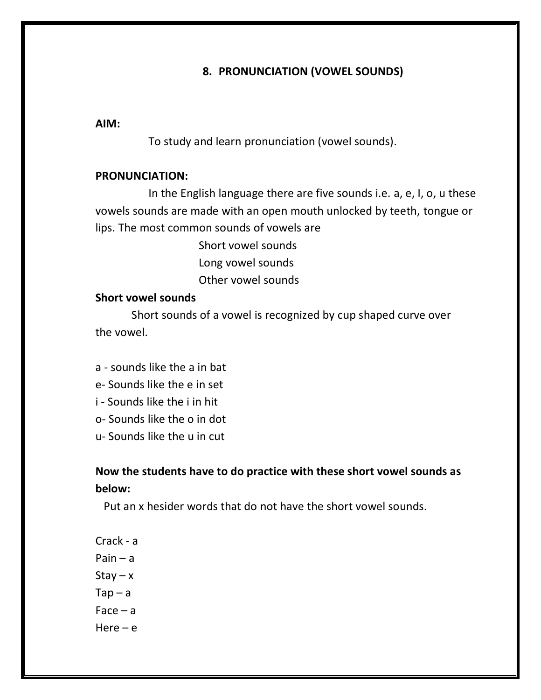### **8. PRONUNCIATION (VOWEL SOUNDS)**

### **AIM:**

To study and learn pronunciation (vowel sounds).

#### **PRONUNCIATION:**

 In the English language there are five sounds i.e. a, e, I, o, u these vowels sounds are made with an open mouth unlocked by teeth, tongue or lips. The most common sounds of vowels are

> Short vowel sounds Long vowel sounds Other vowel sounds

#### **Short vowel sounds**

 Short sounds of a vowel is recognized by cup shaped curve over the vowel.

- a sounds like the a in bat
- e- Sounds like the e in set
- i Sounds like the i in hit
- o- Sounds like the o in dot
- u- Sounds like the u in cut

### **Now the students have to do practice with these short vowel sounds as below:**

Put an x hesider words that do not have the short vowel sounds.

Crack - a Pain  $- a$  $Stay - x$  $Tap - a$  $Face - a$ Here  $-e$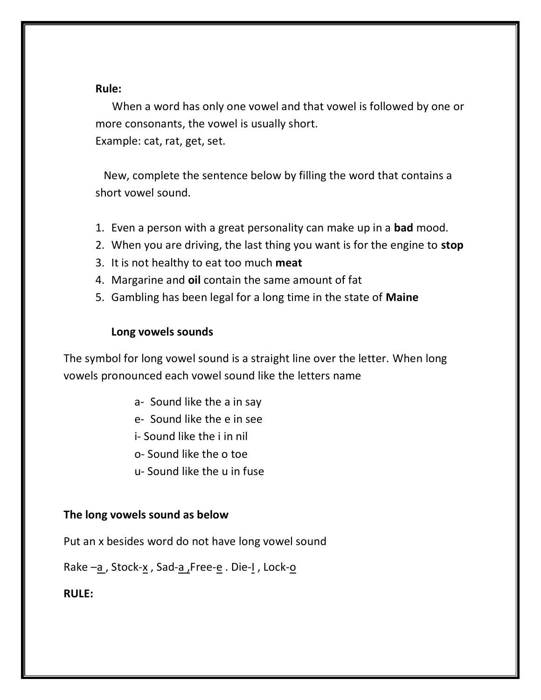### **Rule:**

 When a word has only one vowel and that vowel is followed by one or more consonants, the vowel is usually short.

Example: cat, rat, get, set.

 New, complete the sentence below by filling the word that contains a short vowel sound.

- 1. Even a person with a great personality can make up in a **bad** mood.
- 2. When you are driving, the last thing you want is for the engine to **stop**
- 3. It is not healthy to eat too much **meat**
- 4. Margarine and **oil** contain the same amount of fat
- 5. Gambling has been legal for a long time in the state of **Maine**

### **Long vowels sounds**

The symbol for long vowel sound is a straight line over the letter. When long vowels pronounced each vowel sound like the letters name

- a- Sound like the a in say
- e- Sound like the e in see
- i- Sound like the i in nil
- o- Sound like the o toe
- u- Sound like the u in fuse

### **The long vowels sound as below**

Put an x besides word do not have long vowel sound

Rake  $-a$ , Stock- $x$ , Sad- $a$ , Free- $e$ . Die-I, Lock- $o$ 

**RULE:**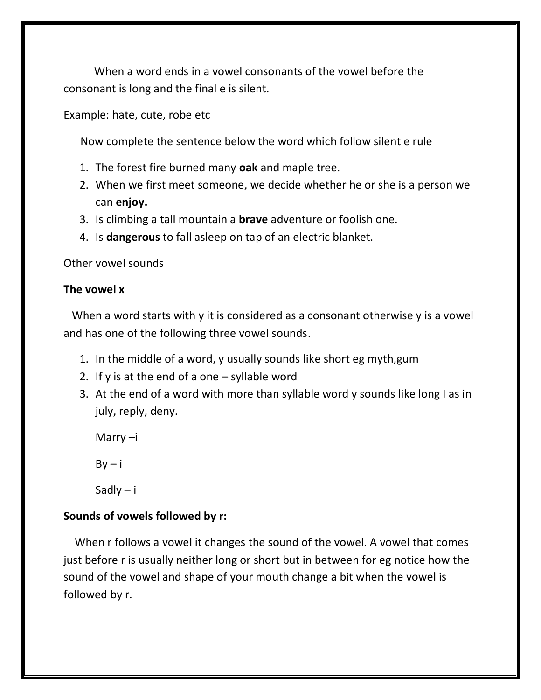When a word ends in a vowel consonants of the vowel before the consonant is long and the final e is silent.

Example: hate, cute, robe etc

Now complete the sentence below the word which follow silent e rule

- 1. The forest fire burned many **oak** and maple tree.
- 2. When we first meet someone, we decide whether he or she is a person we can **enjoy.**
- 3. Is climbing a tall mountain a **brave** adventure or foolish one.
- 4. Is **dangerous** to fall asleep on tap of an electric blanket.

Other vowel sounds

#### **The vowel x**

 When a word starts with y it is considered as a consonant otherwise y is a vowel and has one of the following three vowel sounds.

- 1. In the middle of a word, y usually sounds like short eg myth,gum
- 2. If y is at the end of a one syllable word
- 3. At the end of a word with more than syllable word y sounds like long I as in july, reply, deny.

Marry –i  $By - i$ 

Sadly – i

### **Sounds of vowels followed by r:**

 When r follows a vowel it changes the sound of the vowel. A vowel that comes just before r is usually neither long or short but in between for eg notice how the sound of the vowel and shape of your mouth change a bit when the vowel is followed by r.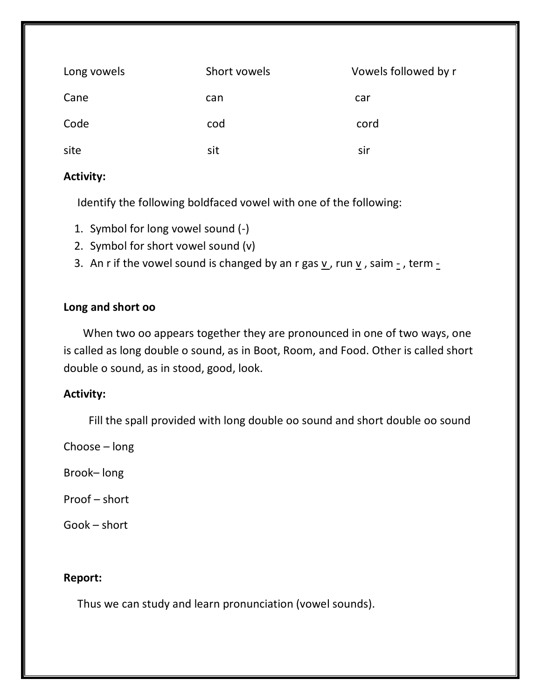| Long vowels | Short vowels | Vowels followed by r |
|-------------|--------------|----------------------|
| Cane        | can          | car                  |
| Code        | cod          | cord                 |
| site        | sit          | sır                  |

### **Activity:**

Identify the following boldfaced vowel with one of the following:

- 1. Symbol for long vowel sound (-)
- 2. Symbol for short vowel sound (v)
- 3. An r if the vowel sound is changed by an r gas  $v_j$  run  $\overline{v}$ , saim  $\overline{z}$ , term  $\overline{z}$

### **Long and short oo**

 When two oo appears together they are pronounced in one of two ways, one is called as long double o sound, as in Boot, Room, and Food. Other is called short double o sound, as in stood, good, look.

### **Activity:**

Fill the spall provided with long double oo sound and short double oo sound

Choose – long

Brook– long

Proof – short

Gook – short

### **Report:**

Thus we can study and learn pronunciation (vowel sounds).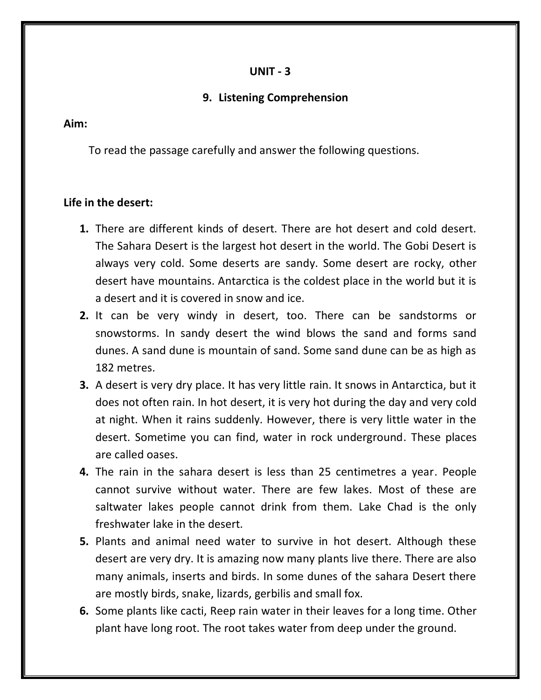### **UNIT - 3**

### **9. Listening Comprehension**

**Aim:**

To read the passage carefully and answer the following questions.

### **Life in the desert:**

- **1.** There are different kinds of desert. There are hot desert and cold desert. The Sahara Desert is the largest hot desert in the world. The Gobi Desert is always very cold. Some deserts are sandy. Some desert are rocky, other desert have mountains. Antarctica is the coldest place in the world but it is a desert and it is covered in snow and ice.
- **2.** It can be very windy in desert, too. There can be sandstorms or snowstorms. In sandy desert the wind blows the sand and forms sand dunes. A sand dune is mountain of sand. Some sand dune can be as high as 182 metres.
- **3.** A desert is very dry place. It has very little rain. It snows in Antarctica, but it does not often rain. In hot desert, it is very hot during the day and very cold at night. When it rains suddenly. However, there is very little water in the desert. Sometime you can find, water in rock underground. These places are called oases.
- **4.** The rain in the sahara desert is less than 25 centimetres a year. People cannot survive without water. There are few lakes. Most of these are saltwater lakes people cannot drink from them. Lake Chad is the only freshwater lake in the desert.
- **5.** Plants and animal need water to survive in hot desert. Although these desert are very dry. It is amazing now many plants live there. There are also many animals, inserts and birds. In some dunes of the sahara Desert there are mostly birds, snake, lizards, gerbilis and small fox.
- **6.** Some plants like cacti, Reep rain water in their leaves for a long time. Other plant have long root. The root takes water from deep under the ground.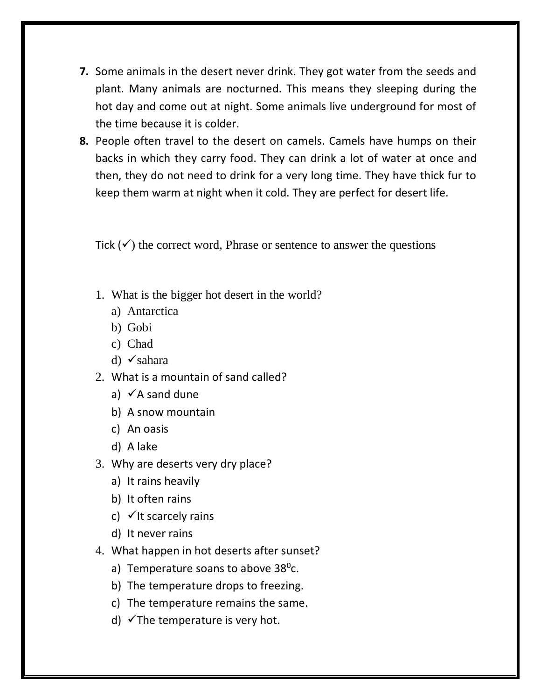- **7.** Some animals in the desert never drink. They got water from the seeds and plant. Many animals are nocturned. This means they sleeping during the hot day and come out at night. Some animals live underground for most of the time because it is colder.
- **8.** People often travel to the desert on camels. Camels have humps on their backs in which they carry food. They can drink a lot of water at once and then, they do not need to drink for a very long time. They have thick fur to keep them warm at night when it cold. They are perfect for desert life.

Tick  $(\checkmark)$  the correct word, Phrase or sentence to answer the questions

- 1. What is the bigger hot desert in the world?
	- a) Antarctica
	- b) Gobi
	- c) Chad
	- d)  $\checkmark$  sahara
- 2. What is a mountain of sand called?
	- a)  $\checkmark$  A sand dune
	- b) A snow mountain
	- c) An oasis
	- d) A lake
- 3. Why are deserts very dry place?
	- a) It rains heavily
	- b) It often rains
	- c)  $\checkmark$  It scarcely rains
	- d) It never rains
- 4. What happen in hot deserts after sunset?
	- a) Temperature soans to above 38 $^0$ c.
	- b) The temperature drops to freezing.
	- c) The temperature remains the same.
	- d)  $\checkmark$  The temperature is very hot.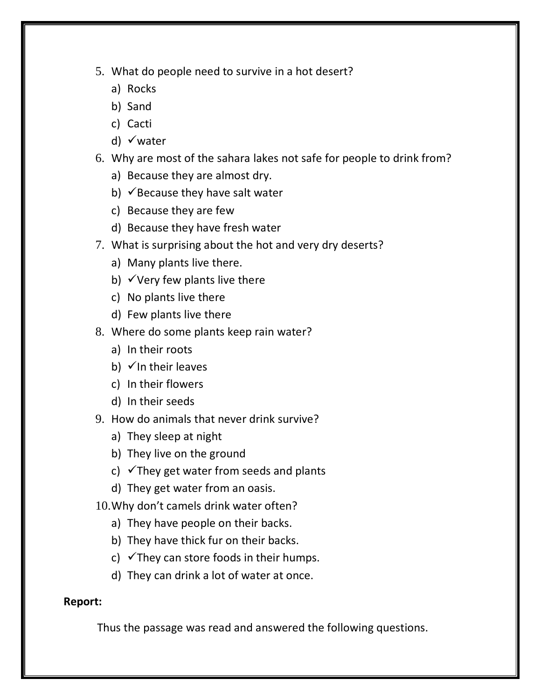- 5. What do people need to survive in a hot desert?
	- a) Rocks
	- b) Sand
	- c) Cacti
	- d)  $\checkmark$  water
- 6. Why are most of the sahara lakes not safe for people to drink from?
	- a) Because they are almost dry.
	- b)  $\checkmark$  Because they have salt water
	- c) Because they are few
	- d) Because they have fresh water
- 7. What is surprising about the hot and very dry deserts?
	- a) Many plants live there.
	- b)  $\checkmark$  Very few plants live there
	- c) No plants live there
	- d) Few plants live there
- 8. Where do some plants keep rain water?
	- a) In their roots
	- b)  $\checkmark$  In their leaves
	- c) In their flowers
	- d) In their seeds
- 9. How do animals that never drink survive?
	- a) They sleep at night
	- b) They live on the ground
	- c)  $\checkmark$  They get water from seeds and plants
	- d) They get water from an oasis.
- 10.Why don't camels drink water often?
	- a) They have people on their backs.
	- b) They have thick fur on their backs.
	- c)  $\checkmark$  They can store foods in their humps.
	- d) They can drink a lot of water at once.

### **Report:**

Thus the passage was read and answered the following questions.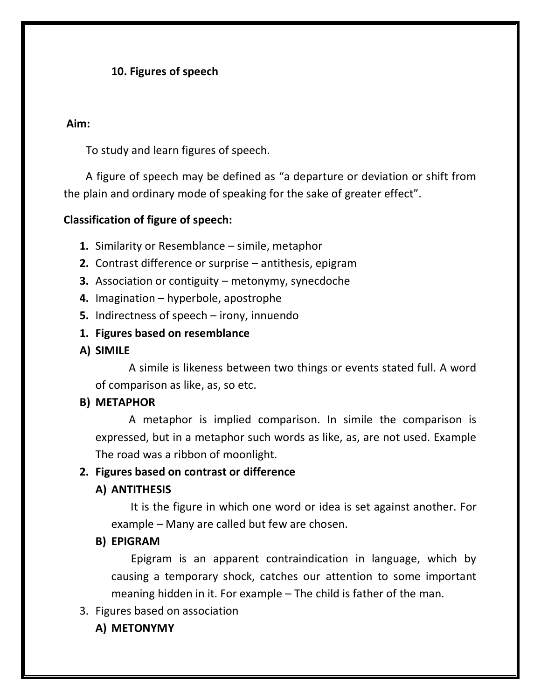### **10. Figures of speech**

### **Aim:**

To study and learn figures of speech.

 A figure of speech may be defined as "a departure or deviation or shift from the plain and ordinary mode of speaking for the sake of greater effect".

### **Classification of figure of speech:**

- **1.** Similarity or Resemblance simile, metaphor
- **2.** Contrast difference or surprise antithesis, epigram
- **3.** Association or contiguity metonymy, synecdoche
- **4.** Imagination hyperbole, apostrophe
- **5.** Indirectness of speech irony, innuendo
- **1. Figures based on resemblance**
- **A) SIMILE**

A simile is likeness between two things or events stated full. A word of comparison as like, as, so etc.

### **B) METAPHOR**

 A metaphor is implied comparison. In simile the comparison is expressed, but in a metaphor such words as like, as, are not used. Example The road was a ribbon of moonlight.

### **2. Figures based on contrast or difference**

### **A) ANTITHESIS**

It is the figure in which one word or idea is set against another. For example – Many are called but few are chosen.

### **B) EPIGRAM**

 Epigram is an apparent contraindication in language, which by causing a temporary shock, catches our attention to some important meaning hidden in it. For example – The child is father of the man.

- 3. Figures based on association
	- **A) METONYMY**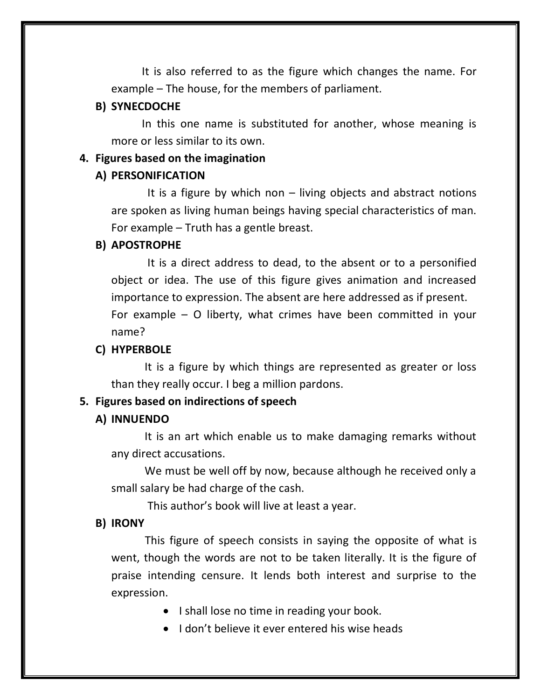It is also referred to as the figure which changes the name. For example – The house, for the members of parliament.

#### **B) SYNECDOCHE**

 In this one name is substituted for another, whose meaning is more or less similar to its own.

#### **4. Figures based on the imagination**

#### **A) PERSONIFICATION**

It is a figure by which non  $-$  living objects and abstract notions are spoken as living human beings having special characteristics of man. For example – Truth has a gentle breast.

#### **B) APOSTROPHE**

 It is a direct address to dead, to the absent or to a personified object or idea. The use of this figure gives animation and increased importance to expression. The absent are here addressed as if present. For example – O liberty, what crimes have been committed in your name?

#### **C) HYPERBOLE**

 It is a figure by which things are represented as greater or loss than they really occur. I beg a million pardons.

#### **5. Figures based on indirections of speech**

#### **A) INNUENDO**

 It is an art which enable us to make damaging remarks without any direct accusations.

 We must be well off by now, because although he received only a small salary be had charge of the cash.

This author's book will live at least a year.

#### **B) IRONY**

 This figure of speech consists in saying the opposite of what is went, though the words are not to be taken literally. It is the figure of praise intending censure. It lends both interest and surprise to the expression.

- I shall lose no time in reading your book.
- I don't believe it ever entered his wise heads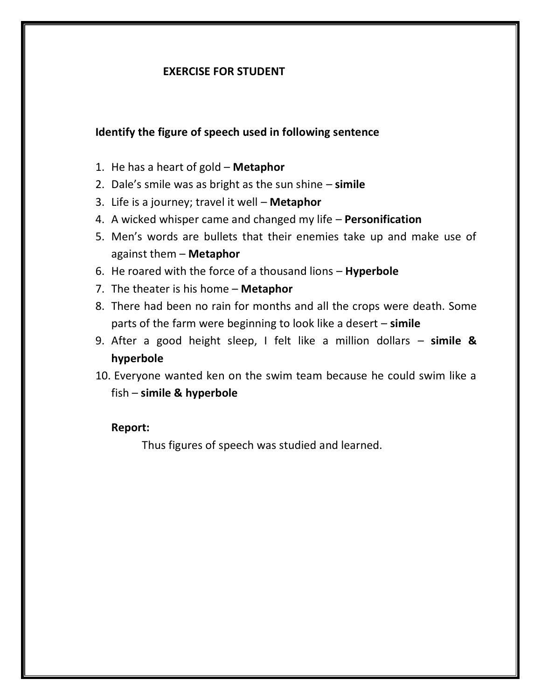### **EXERCISE FOR STUDENT**

#### **Identify the figure of speech used in following sentence**

- 1. He has a heart of gold **Metaphor**
- 2. Dale's smile was as bright as the sun shine **simile**
- 3. Life is a journey; travel it well **Metaphor**
- 4. A wicked whisper came and changed my life **Personification**
- 5. Men's words are bullets that their enemies take up and make use of against them – **Metaphor**
- 6. He roared with the force of a thousand lions **Hyperbole**
- 7. The theater is his home **Metaphor**
- 8. There had been no rain for months and all the crops were death. Some parts of the farm were beginning to look like a desert – **simile**
- 9. After a good height sleep, I felt like a million dollars **simile & hyperbole**
- 10. Everyone wanted ken on the swim team because he could swim like a fish – **simile & hyperbole**

#### **Report:**

Thus figures of speech was studied and learned.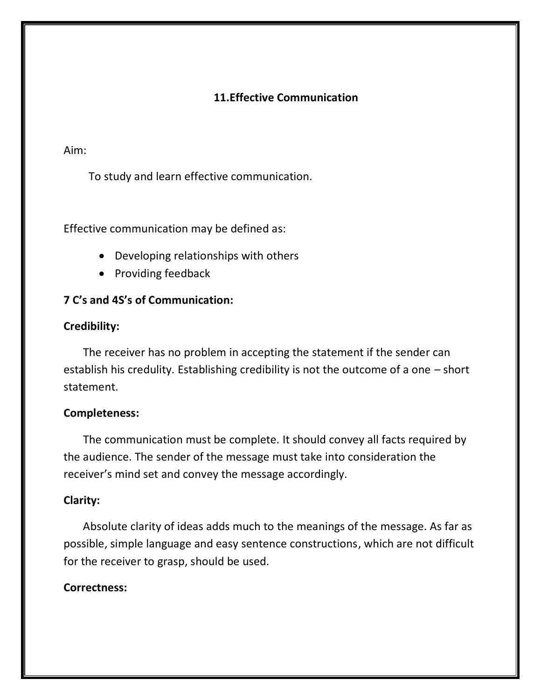### **11.Effective Communication**

#### Aim:

To study and learn effective communication.

Effective communication may be defined as:

- Developing relationships with others
- Providing feedback

### **7 C's and 4S's of Communication:**

#### **Credibility:**

 The receiver has no problem in accepting the statement if the sender can establish his credulity. Establishing credibility is not the outcome of a one – short statement.

#### **Completeness:**

 The communication must be complete. It should convey all facts required by the audience. The sender of the message must take into consideration the receiver's mind set and convey the message accordingly.

#### **Clarity:**

 Absolute clarity of ideas adds much to the meanings of the message. As far as possible, simple language and easy sentence constructions, which are not difficult for the receiver to grasp, should be used.

### **Correctness:**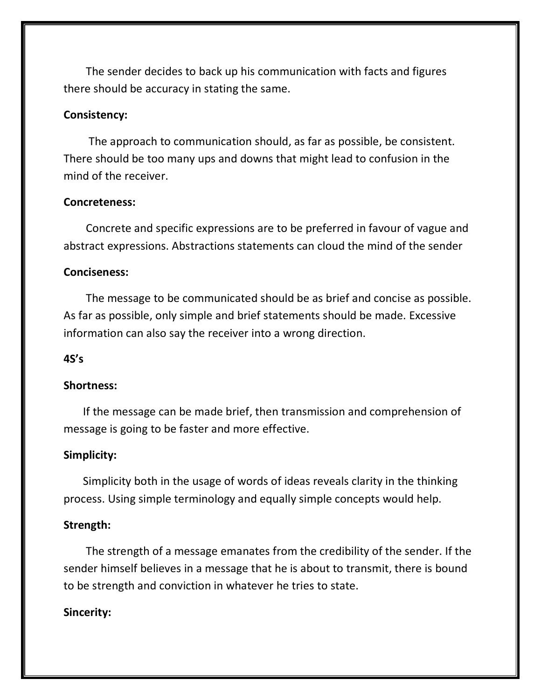The sender decides to back up his communication with facts and figures there should be accuracy in stating the same.

#### **Consistency:**

 The approach to communication should, as far as possible, be consistent. There should be too many ups and downs that might lead to confusion in the mind of the receiver.

#### **Concreteness:**

 Concrete and specific expressions are to be preferred in favour of vague and abstract expressions. Abstractions statements can cloud the mind of the sender

#### **Conciseness:**

 The message to be communicated should be as brief and concise as possible. As far as possible, only simple and brief statements should be made. Excessive information can also say the receiver into a wrong direction.

#### **4S's**

#### **Shortness:**

 If the message can be made brief, then transmission and comprehension of message is going to be faster and more effective.

#### **Simplicity:**

 Simplicity both in the usage of words of ideas reveals clarity in the thinking process. Using simple terminology and equally simple concepts would help.

#### **Strength:**

 The strength of a message emanates from the credibility of the sender. If the sender himself believes in a message that he is about to transmit, there is bound to be strength and conviction in whatever he tries to state.

#### **Sincerity:**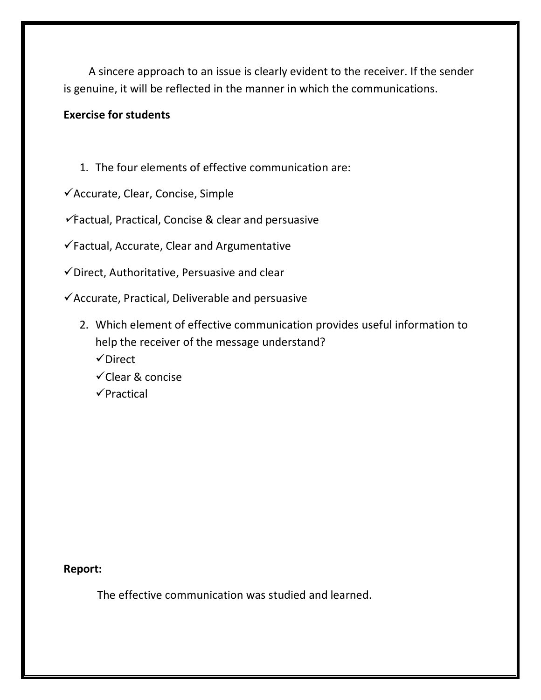A sincere approach to an issue is clearly evident to the receiver. If the sender is genuine, it will be reflected in the manner in which the communications.

### **Exercise for students**

- 1. The four elements of effective communication are:
- Accurate, Clear, Concise, Simple
- $\checkmark$ Factual, Practical, Concise & clear and persuasive
- $\checkmark$  Factual, Accurate, Clear and Argumentative
- $\checkmark$  Direct, Authoritative, Persuasive and clear
- $\checkmark$  Accurate, Practical, Deliverable and persuasive
	- 2. Which element of effective communication provides useful information to help the receiver of the message understand?
		- **√Direct**
		- Clear & concise
		- $\checkmark$ Practical

#### **Report:**

The effective communication was studied and learned.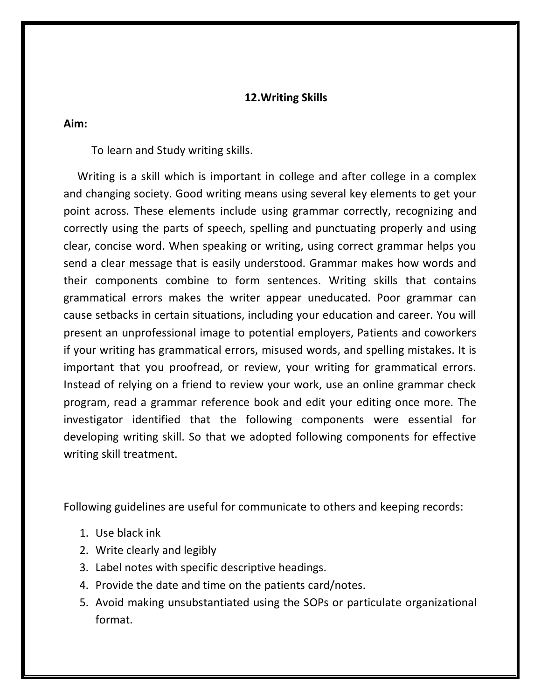### **12.Writing Skills**

#### **Aim:**

To learn and Study writing skills.

 Writing is a skill which is important in college and after college in a complex and changing society. Good writing means using several key elements to get your point across. These elements include using grammar correctly, recognizing and correctly using the parts of speech, spelling and punctuating properly and using clear, concise word. When speaking or writing, using correct grammar helps you send a clear message that is easily understood. Grammar makes how words and their components combine to form sentences. Writing skills that contains grammatical errors makes the writer appear uneducated. Poor grammar can cause setbacks in certain situations, including your education and career. You will present an unprofessional image to potential employers, Patients and coworkers if your writing has grammatical errors, misused words, and spelling mistakes. It is important that you proofread, or review, your writing for grammatical errors. Instead of relying on a friend to review your work, use an online grammar check program, read a grammar reference book and edit your editing once more. The investigator identified that the following components were essential for developing writing skill. So that we adopted following components for effective writing skill treatment.

Following guidelines are useful for communicate to others and keeping records:

- 1. Use black ink
- 2. Write clearly and legibly
- 3. Label notes with specific descriptive headings.
- 4. Provide the date and time on the patients card/notes.
- 5. Avoid making unsubstantiated using the SOPs or particulate organizational format.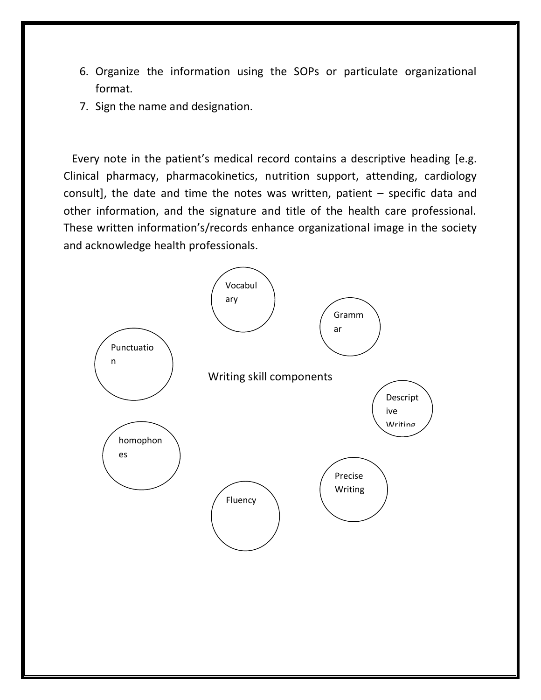- 6. Organize the information using the SOPs or particulate organizational format.
- 7. Sign the name and designation.

 Every note in the patient's medical record contains a descriptive heading [e.g. Clinical pharmacy, pharmacokinetics, nutrition support, attending, cardiology consult], the date and time the notes was written, patient – specific data and other information, and the signature and title of the health care professional. These written information's/records enhance organizational image in the society and acknowledge health professionals.

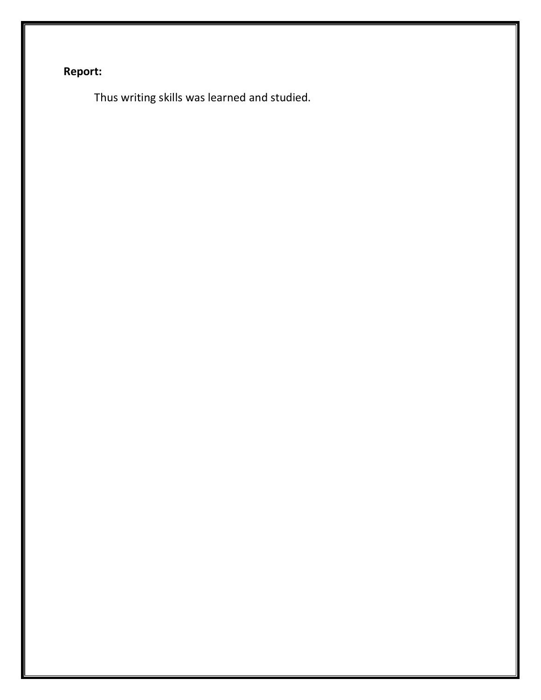# **Report:**

Thus writing skills was learned and studied.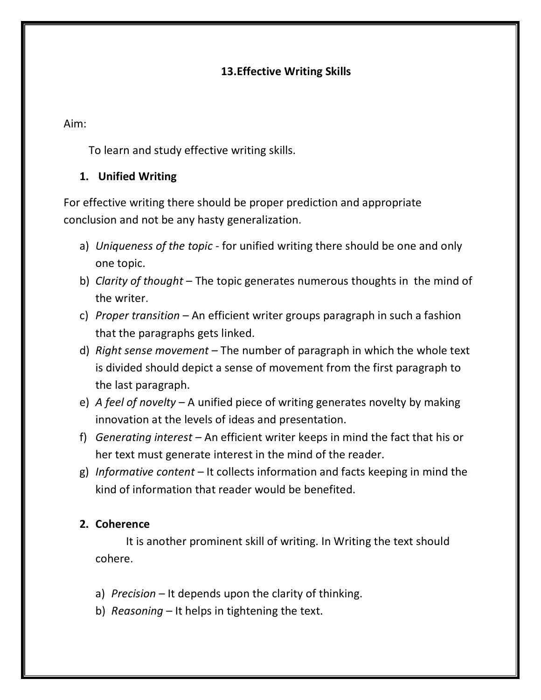### **13.Effective Writing Skills**

Aim:

To learn and study effective writing skills.

### **1. Unified Writing**

For effective writing there should be proper prediction and appropriate conclusion and not be any hasty generalization.

- a) *Uniqueness of the topic* for unified writing there should be one and only one topic.
- b) *Clarity of thought* The topic generates numerous thoughts in the mind of the writer.
- c) *Proper transition* An efficient writer groups paragraph in such a fashion that the paragraphs gets linked.
- d) *Right sense movement* The number of paragraph in which the whole text is divided should depict a sense of movement from the first paragraph to the last paragraph.
- e) *A feel of novelty* A unified piece of writing generates novelty by making innovation at the levels of ideas and presentation.
- f) *Generating interest* An efficient writer keeps in mind the fact that his or her text must generate interest in the mind of the reader.
- g) *Informative content* It collects information and facts keeping in mind the kind of information that reader would be benefited.

### **2. Coherence**

 It is another prominent skill of writing. In Writing the text should cohere.

- a) *Precision* It depends upon the clarity of thinking.
- b) *Reasoning* It helps in tightening the text.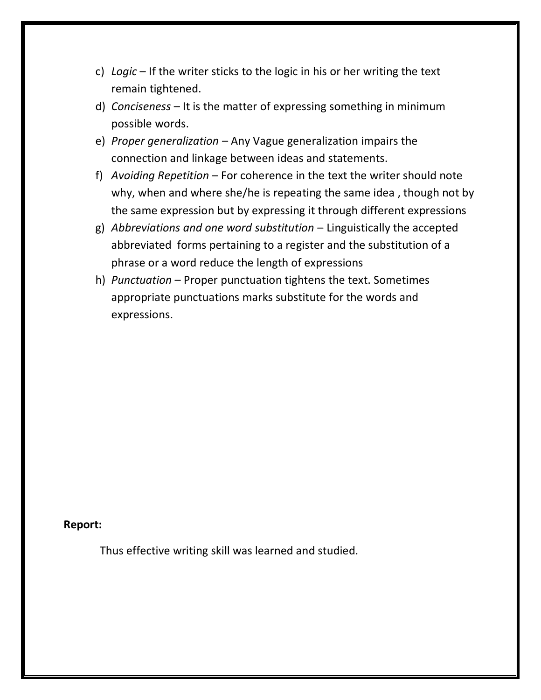- c) *Logic* If the writer sticks to the logic in his or her writing the text remain tightened.
- d) *Conciseness* It is the matter of expressing something in minimum possible words.
- e) *Proper generalization* Any Vague generalization impairs the connection and linkage between ideas and statements.
- f) *Avoiding Repetition* For coherence in the text the writer should note why, when and where she/he is repeating the same idea , though not by the same expression but by expressing it through different expressions
- g) *Abbreviations and one word substitution* Linguistically the accepted abbreviated forms pertaining to a register and the substitution of a phrase or a word reduce the length of expressions
- h) *Punctuation* Proper punctuation tightens the text. Sometimes appropriate punctuations marks substitute for the words and expressions.

#### **Report:**

Thus effective writing skill was learned and studied.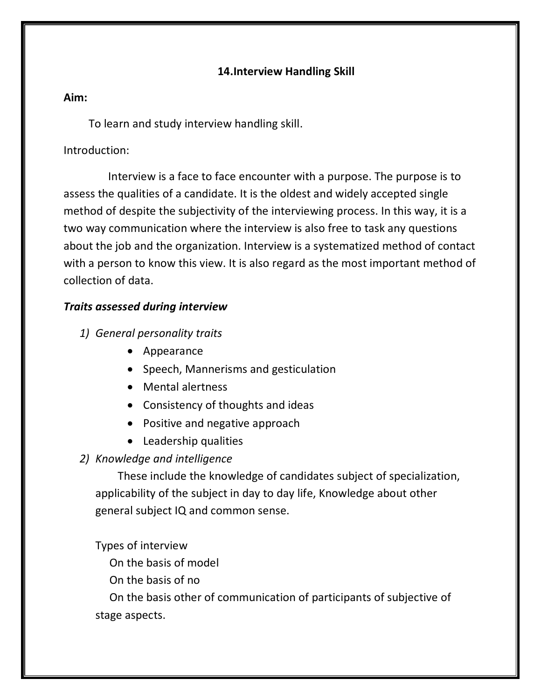### **14.Interview Handling Skill**

### **Aim:**

To learn and study interview handling skill.

### Introduction:

 Interview is a face to face encounter with a purpose. The purpose is to assess the qualities of a candidate. It is the oldest and widely accepted single method of despite the subjectivity of the interviewing process. In this way, it is a two way communication where the interview is also free to task any questions about the job and the organization. Interview is a systematized method of contact with a person to know this view. It is also regard as the most important method of collection of data.

### *Traits assessed during interview*

- *1) General personality traits*
	- Appearance
	- Speech, Mannerisms and gesticulation
	- Mental alertness
	- Consistency of thoughts and ideas
	- Positive and negative approach
	- Leadership qualities

### *2) Knowledge and intelligence*

 These include the knowledge of candidates subject of specialization, applicability of the subject in day to day life, Knowledge about other general subject IQ and common sense.

Types of interview

On the basis of model

On the basis of no

 On the basis other of communication of participants of subjective of stage aspects.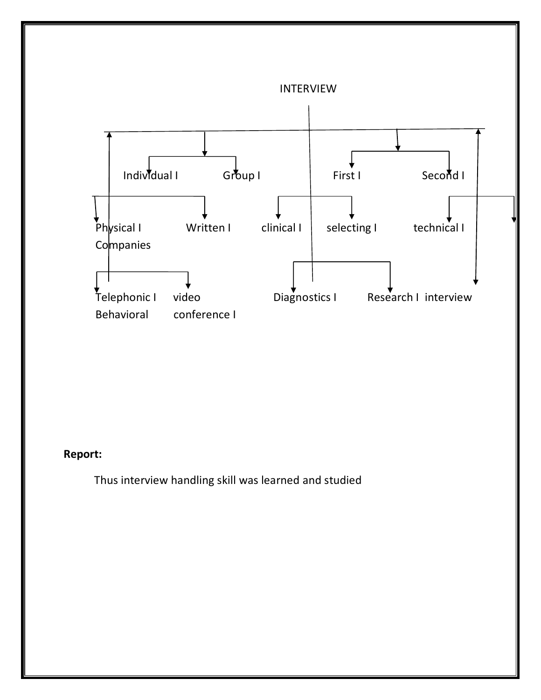

# **Report:**

Thus interview handling skill was learned and studied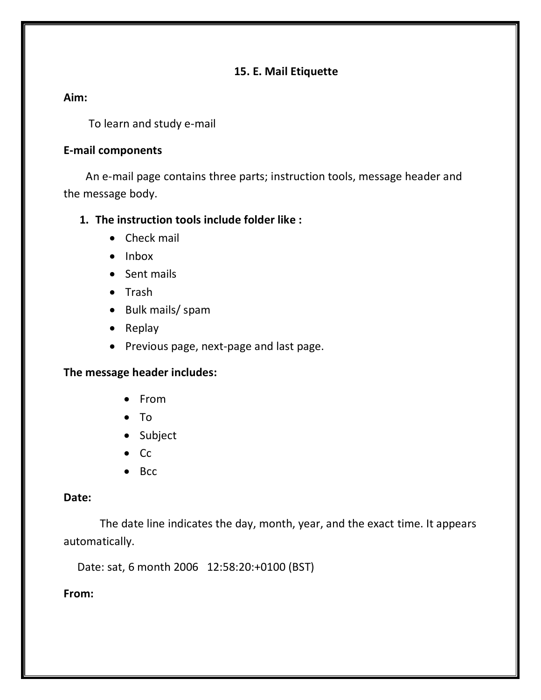### **15. E. Mail Etiquette**

### **Aim:**

To learn and study e-mail

### **E-mail components**

An e-mail page contains three parts; instruction tools, message header and the message body.

### **1. The instruction tools include folder like :**

- Check mail
- Inbox
- Sent mails
- Trash
- Bulk mails/ spam
- Replay
- Previous page, next-page and last page.

### **The message header includes:**

- From
- $\bullet$  To
- Subject
- $\bullet$  Cc
- $\bullet$  Bcc

### **Date:**

 The date line indicates the day, month, year, and the exact time. It appears automatically.

Date: sat, 6 month 2006 12:58:20:+0100 (BST)

**From:**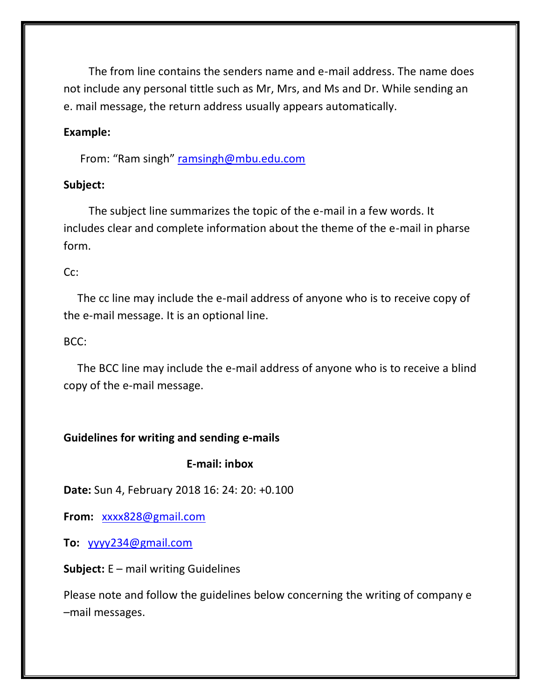The from line contains the senders name and e-mail address. The name does not include any personal tittle such as Mr, Mrs, and Ms and Dr. While sending an e. mail message, the return address usually appears automatically.

#### **Example:**

From: "Ram singh" [ramsingh@mbu.edu.com](mailto:ramsingh@mbu.edu.com)

#### **Subject:**

 The subject line summarizes the topic of the e-mail in a few words. It includes clear and complete information about the theme of the e-mail in pharse form.

#### Cc:

 The cc line may include the e-mail address of anyone who is to receive copy of the e-mail message. It is an optional line.

#### BCC:

 The BCC line may include the e-mail address of anyone who is to receive a blind copy of the e-mail message.

#### **Guidelines for writing and sending e-mails**

#### **E-mail: inbox**

**Date:** Sun 4, February 2018 16: 24: 20: +0.100

**From:** [xxxx828@gmail.com](mailto:xxxx828@gmail.com)

**To:** [yyyy234@gmail.com](mailto:yyyy234@gmail.com)

#### **Subject:** E – mail writing Guidelines

Please note and follow the guidelines below concerning the writing of company e –mail messages.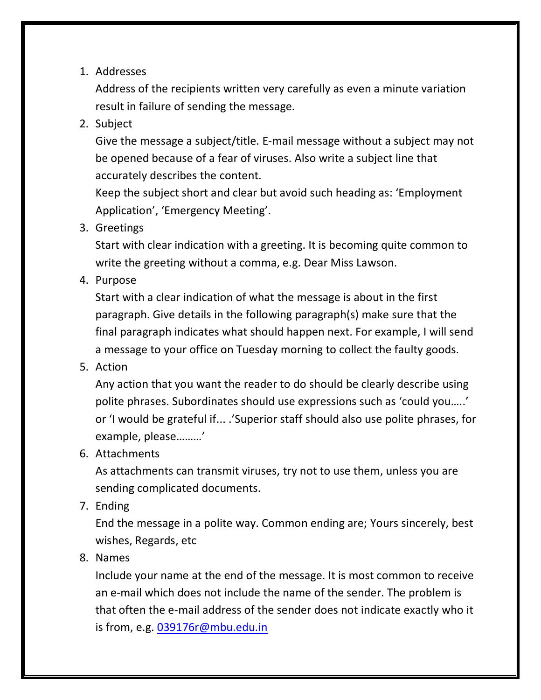### 1. Addresses

Address of the recipients written very carefully as even a minute variation result in failure of sending the message.

2. Subject

Give the message a subject/title. E-mail message without a subject may not be opened because of a fear of viruses. Also write a subject line that accurately describes the content.

Keep the subject short and clear but avoid such heading as: 'Employment Application', 'Emergency Meeting'.

3. Greetings

Start with clear indication with a greeting. It is becoming quite common to write the greeting without a comma, e.g. Dear Miss Lawson.

4. Purpose

Start with a clear indication of what the message is about in the first paragraph. Give details in the following paragraph(s) make sure that the final paragraph indicates what should happen next. For example, I will send a message to your office on Tuesday morning to collect the faulty goods.

5. Action

Any action that you want the reader to do should be clearly describe using polite phrases. Subordinates should use expressions such as 'could you…..' or 'I would be grateful if... .'Superior staff should also use polite phrases, for example, please………'

6. Attachments

As attachments can transmit viruses, try not to use them, unless you are sending complicated documents.

7. Ending

End the message in a polite way. Common ending are; Yours sincerely, best wishes, Regards, etc

8. Names

Include your name at the end of the message. It is most common to receive an e-mail which does not include the name of the sender. The problem is that often the e-mail address of the sender does not indicate exactly who it is from, e.g. [039176r@mbu.edu.in](mailto:039176r@mbu.edu.in)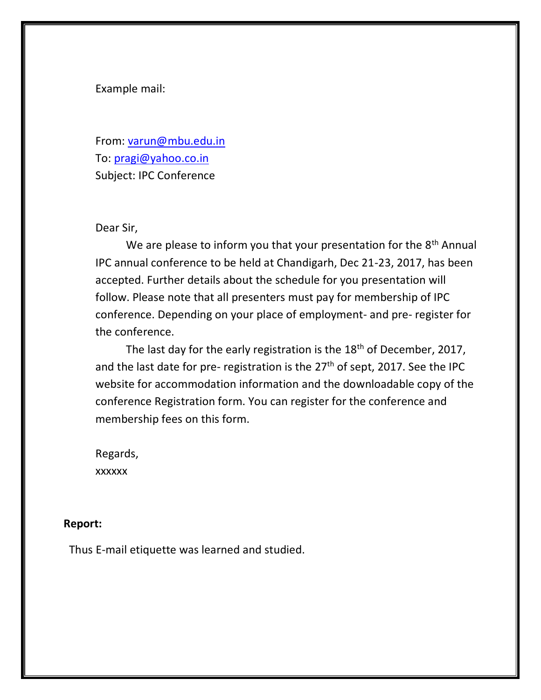Example mail:

From: [varun@mbu.edu.in](mailto:varun@mbu.edu.in) To: [pragi@yahoo.co.in](mailto:pragi@yahoo.co.in) Subject: IPC Conference

#### Dear Sir,

We are please to inform you that your presentation for the  $8<sup>th</sup>$  Annual IPC annual conference to be held at Chandigarh, Dec 21-23, 2017, has been accepted. Further details about the schedule for you presentation will follow. Please note that all presenters must pay for membership of IPC conference. Depending on your place of employment- and pre- register for the conference.

The last day for the early registration is the 18<sup>th</sup> of December, 2017, and the last date for pre- registration is the  $27<sup>th</sup>$  of sept, 2017. See the IPC website for accommodation information and the downloadable copy of the conference Registration form. You can register for the conference and membership fees on this form.

Regards, xxxxxx

#### **Report:**

Thus E-mail etiquette was learned and studied.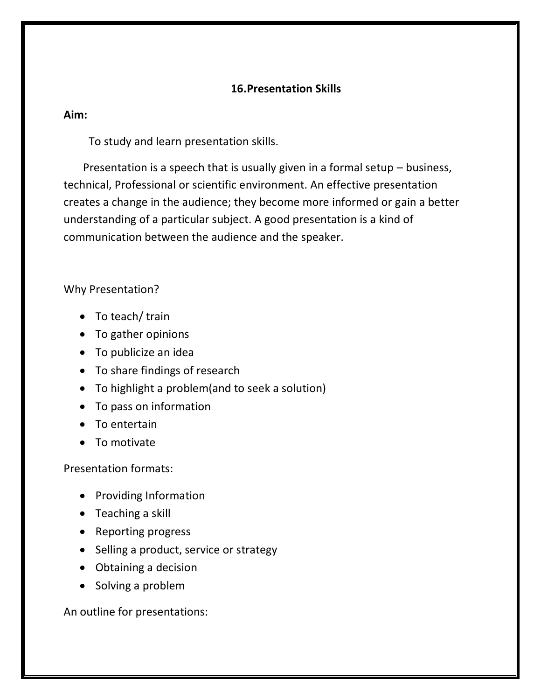### **16.Presentation Skills**

### **Aim:**

To study and learn presentation skills.

 Presentation is a speech that is usually given in a formal setup – business, technical, Professional or scientific environment. An effective presentation creates a change in the audience; they become more informed or gain a better understanding of a particular subject. A good presentation is a kind of communication between the audience and the speaker.

### Why Presentation?

- To teach/ train
- To gather opinions
- To publicize an idea
- To share findings of research
- To highlight a problem(and to seek a solution)
- To pass on information
- To entertain
- To motivate

Presentation formats:

- Providing Information
- Teaching a skill
- Reporting progress
- Selling a product, service or strategy
- Obtaining a decision
- Solving a problem

An outline for presentations: